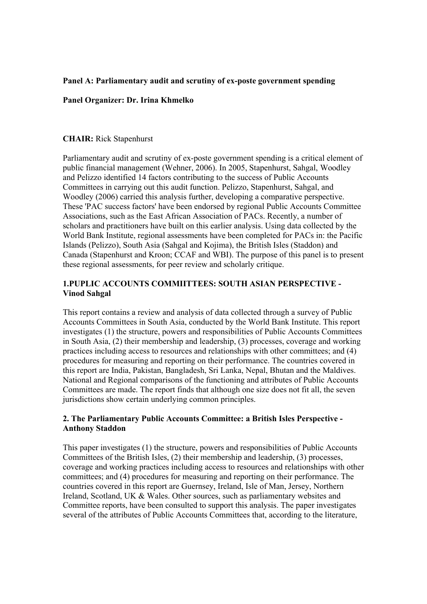# **Panel A: Parliamentary audit and scrutiny of ex-poste government spending**

## **Panel Organizer: Dr. Irina Khmelko**

### **CHAIR:** Rick Stapenhurst

Parliamentary audit and scrutiny of ex-poste government spending is a critical element of public financial management (Wehner, 2006). In 2005, Stapenhurst, Sahgal, Woodley and Pelizzo identified 14 factors contributing to the success of Public Accounts Committees in carrying out this audit function. Pelizzo, Stapenhurst, Sahgal, and Woodley (2006) carried this analysis further, developing a comparative perspective. These 'PAC success factors' have been endorsed by regional Public Accounts Committee Associations, such as the East African Association of PACs. Recently, a number of scholars and practitioners have built on this earlier analysis. Using data collected by the World Bank Institute, regional assessments have been completed for PACs in: the Pacific Islands (Pelizzo), South Asia (Sahgal and Kojima), the British Isles (Staddon) and Canada (Stapenhurst and Kroon; CCAF and WBI). The purpose of this panel is to present these regional assessments, for peer review and scholarly critique.

## **1.PUPLIC ACCOUNTS COMMIITTEES: SOUTH ASIAN PERSPECTIVE - Vinod Sahgal**

This report contains a review and analysis of data collected through a survey of Public Accounts Committees in South Asia, conducted by the World Bank Institute. This report investigates (1) the structure, powers and responsibilities of Public Accounts Committees in South Asia, (2) their membership and leadership, (3) processes, coverage and working practices including access to resources and relationships with other committees; and (4) procedures for measuring and reporting on their performance. The countries covered in this report are India, Pakistan, Bangladesh, Sri Lanka, Nepal, Bhutan and the Maldives. National and Regional comparisons of the functioning and attributes of Public Accounts Committees are made. The report finds that although one size does not fit all, the seven jurisdictions show certain underlying common principles.

## **2. The Parliamentary Public Accounts Committee: a British Isles Perspective - Anthony Staddon**

This paper investigates (1) the structure, powers and responsibilities of Public Accounts Committees of the British Isles, (2) their membership and leadership, (3) processes, coverage and working practices including access to resources and relationships with other committees; and (4) procedures for measuring and reporting on their performance. The countries covered in this report are Guernsey, Ireland, Isle of Man, Jersey, Northern Ireland, Scotland, UK & Wales. Other sources, such as parliamentary websites and Committee reports, have been consulted to support this analysis. The paper investigates several of the attributes of Public Accounts Committees that, according to the literature,